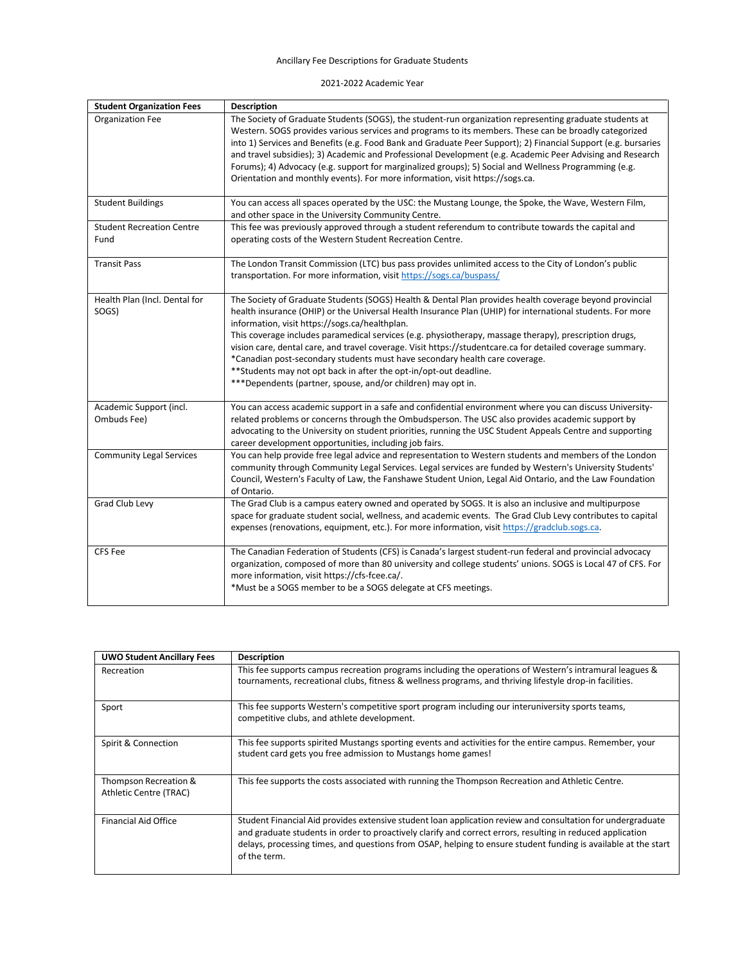## Ancillary Fee Descriptions for Graduate Students

2021-2022 Academic Year

| <b>Student Organization Fees</b>         | Description                                                                                                                                                                                                                                                                                                                                                                                                                                                                                                                                                                                                                                                                                                          |
|------------------------------------------|----------------------------------------------------------------------------------------------------------------------------------------------------------------------------------------------------------------------------------------------------------------------------------------------------------------------------------------------------------------------------------------------------------------------------------------------------------------------------------------------------------------------------------------------------------------------------------------------------------------------------------------------------------------------------------------------------------------------|
| <b>Organization Fee</b>                  | The Society of Graduate Students (SOGS), the student-run organization representing graduate students at<br>Western. SOGS provides various services and programs to its members. These can be broadly categorized<br>into 1) Services and Benefits (e.g. Food Bank and Graduate Peer Support); 2) Financial Support (e.g. bursaries<br>and travel subsidies); 3) Academic and Professional Development (e.g. Academic Peer Advising and Research<br>Forums); 4) Advocacy (e.g. support for marginalized groups); 5) Social and Wellness Programming (e.g.<br>Orientation and monthly events). For more information, visit https://sogs.ca.                                                                            |
| <b>Student Buildings</b>                 | You can access all spaces operated by the USC: the Mustang Lounge, the Spoke, the Wave, Western Film,<br>and other space in the University Community Centre.                                                                                                                                                                                                                                                                                                                                                                                                                                                                                                                                                         |
| <b>Student Recreation Centre</b><br>Fund | This fee was previously approved through a student referendum to contribute towards the capital and<br>operating costs of the Western Student Recreation Centre.                                                                                                                                                                                                                                                                                                                                                                                                                                                                                                                                                     |
| <b>Transit Pass</b>                      | The London Transit Commission (LTC) bus pass provides unlimited access to the City of London's public<br>transportation. For more information, visit https://sogs.ca/buspass/                                                                                                                                                                                                                                                                                                                                                                                                                                                                                                                                        |
| Health Plan (Incl. Dental for<br>SOGS)   | The Society of Graduate Students (SOGS) Health & Dental Plan provides health coverage beyond provincial<br>health insurance (OHIP) or the Universal Health Insurance Plan (UHIP) for international students. For more<br>information, visit https://sogs.ca/healthplan.<br>This coverage includes paramedical services (e.g. physiotherapy, massage therapy), prescription drugs,<br>vision care, dental care, and travel coverage. Visit https://studentcare.ca for detailed coverage summary.<br>*Canadian post-secondary students must have secondary health care coverage.<br>** Students may not opt back in after the opt-in/opt-out deadline.<br>***Dependents (partner, spouse, and/or children) may opt in. |
| Academic Support (incl.<br>Ombuds Fee)   | You can access academic support in a safe and confidential environment where you can discuss University-<br>related problems or concerns through the Ombudsperson. The USC also provides academic support by<br>advocating to the University on student priorities, running the USC Student Appeals Centre and supporting<br>career development opportunities, including job fairs.                                                                                                                                                                                                                                                                                                                                  |
| <b>Community Legal Services</b>          | You can help provide free legal advice and representation to Western students and members of the London<br>community through Community Legal Services. Legal services are funded by Western's University Students'<br>Council, Western's Faculty of Law, the Fanshawe Student Union, Legal Aid Ontario, and the Law Foundation<br>of Ontario.                                                                                                                                                                                                                                                                                                                                                                        |
| Grad Club Levy                           | The Grad Club is a campus eatery owned and operated by SOGS. It is also an inclusive and multipurpose<br>space for graduate student social, wellness, and academic events. The Grad Club Levy contributes to capital<br>expenses (renovations, equipment, etc.). For more information, visit https://gradclub.sogs.ca.                                                                                                                                                                                                                                                                                                                                                                                               |
| <b>CFS Fee</b>                           | The Canadian Federation of Students (CFS) is Canada's largest student-run federal and provincial advocacy<br>organization, composed of more than 80 university and college students' unions. SOGS is Local 47 of CFS. For<br>more information, visit https://cfs-fcee.ca/.<br>*Must be a SOGS member to be a SOGS delegate at CFS meetings.                                                                                                                                                                                                                                                                                                                                                                          |

| <b>UWO Student Ancillary Fees</b>               | <b>Description</b>                                                                                                                                                                                                                                                                                                                                          |
|-------------------------------------------------|-------------------------------------------------------------------------------------------------------------------------------------------------------------------------------------------------------------------------------------------------------------------------------------------------------------------------------------------------------------|
| Recreation                                      | This fee supports campus recreation programs including the operations of Western's intramural leagues &<br>tournaments, recreational clubs, fitness & wellness programs, and thriving lifestyle drop-in facilities.                                                                                                                                         |
| Sport                                           | This fee supports Western's competitive sport program including our interuniversity sports teams,<br>competitive clubs, and athlete development.                                                                                                                                                                                                            |
| Spirit & Connection                             | This fee supports spirited Mustangs sporting events and activities for the entire campus. Remember, your<br>student card gets you free admission to Mustangs home games!                                                                                                                                                                                    |
| Thompson Recreation &<br>Athletic Centre (TRAC) | This fee supports the costs associated with running the Thompson Recreation and Athletic Centre.                                                                                                                                                                                                                                                            |
| <b>Financial Aid Office</b>                     | Student Financial Aid provides extensive student loan application review and consultation for undergraduate<br>and graduate students in order to proactively clarify and correct errors, resulting in reduced application<br>delays, processing times, and questions from OSAP, helping to ensure student funding is available at the start<br>of the term. |